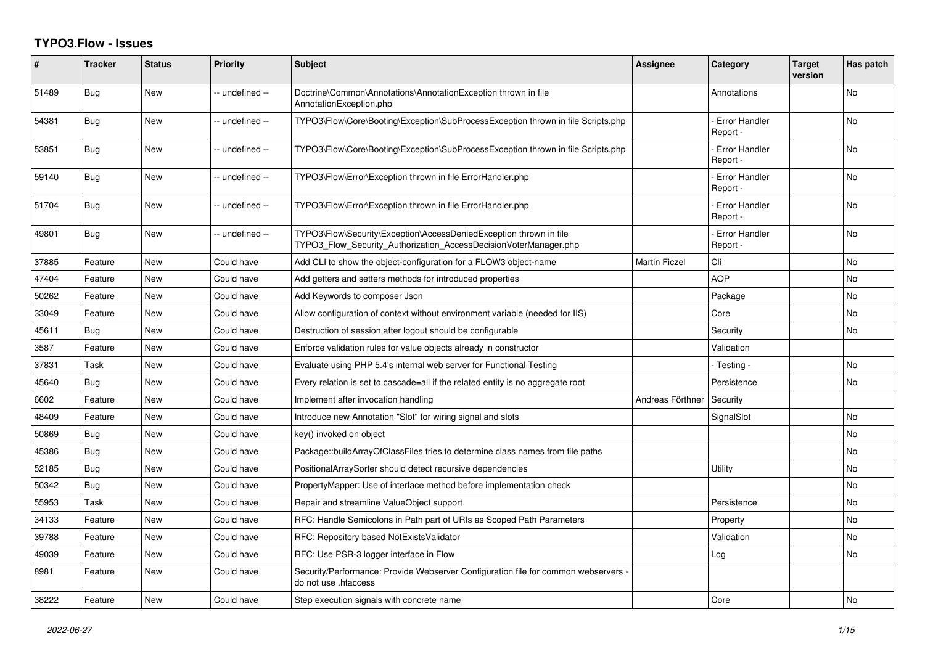## **TYPO3.Flow - Issues**

| #     | <b>Tracker</b> | <b>Status</b> | <b>Priority</b> | <b>Subject</b>                                                                                                                         | <b>Assignee</b>      | Category                         | <b>Target</b><br>version | Has patch |
|-------|----------------|---------------|-----------------|----------------------------------------------------------------------------------------------------------------------------------------|----------------------|----------------------------------|--------------------------|-----------|
| 51489 | Bug            | New           | -- undefined -- | Doctrine\Common\Annotations\AnnotationException thrown in file<br>AnnotationException.php                                              |                      | Annotations                      |                          | <b>No</b> |
| 54381 | Bug            | New           | -- undefined -- | TYPO3\Flow\Core\Booting\Exception\SubProcessException thrown in file Scripts.php                                                       |                      | <b>Error Handler</b><br>Report - |                          | No        |
| 53851 | Bug            | New           | -- undefined -- | TYPO3\Flow\Core\Booting\Exception\SubProcessException thrown in file Scripts.php                                                       |                      | <b>Error Handler</b><br>Report - |                          | No        |
| 59140 | Bug            | <b>New</b>    | -- undefined -- | TYPO3\Flow\Error\Exception thrown in file ErrorHandler.php                                                                             |                      | <b>Error Handler</b><br>Report - |                          | <b>No</b> |
| 51704 | Bug            | New           | -- undefined -- | TYPO3\Flow\Error\Exception thrown in file ErrorHandler.php                                                                             |                      | <b>Error Handler</b><br>Report - |                          | No        |
| 49801 | <b>Bug</b>     | New           | -- undefined -- | TYPO3\Flow\Security\Exception\AccessDeniedException thrown in file<br>TYPO3 Flow Security Authorization AccessDecisionVoterManager.php |                      | <b>Error Handler</b><br>Report - |                          | No        |
| 37885 | Feature        | <b>New</b>    | Could have      | Add CLI to show the object-configuration for a FLOW3 object-name                                                                       | <b>Martin Ficzel</b> | Cli                              |                          | <b>No</b> |
| 47404 | Feature        | New           | Could have      | Add getters and setters methods for introduced properties                                                                              |                      | <b>AOP</b>                       |                          | <b>No</b> |
| 50262 | Feature        | New           | Could have      | Add Keywords to composer Json                                                                                                          |                      | Package                          |                          | No        |
| 33049 | Feature        | <b>New</b>    | Could have      | Allow configuration of context without environment variable (needed for IIS)                                                           |                      | Core                             |                          | <b>No</b> |
| 45611 | Bug            | New           | Could have      | Destruction of session after logout should be configurable                                                                             |                      | Security                         |                          | <b>No</b> |
| 3587  | Feature        | New           | Could have      | Enforce validation rules for value objects already in constructor                                                                      |                      | Validation                       |                          |           |
| 37831 | Task           | <b>New</b>    | Could have      | Evaluate using PHP 5.4's internal web server for Functional Testing                                                                    |                      | - Testing -                      |                          | <b>No</b> |
| 45640 | Bug            | New           | Could have      | Every relation is set to cascade=all if the related entity is no aggregate root                                                        |                      | Persistence                      |                          | No        |
| 6602  | Feature        | New           | Could have      | Implement after invocation handling                                                                                                    | Andreas Förthner     | Security                         |                          |           |
| 48409 | Feature        | <b>New</b>    | Could have      | Introduce new Annotation "Slot" for wiring signal and slots                                                                            |                      | SignalSlot                       |                          | <b>No</b> |
| 50869 | Bug            | New           | Could have      | key() invoked on object                                                                                                                |                      |                                  |                          | No        |
| 45386 | <b>Bug</b>     | <b>New</b>    | Could have      | Package::buildArrayOfClassFiles tries to determine class names from file paths                                                         |                      |                                  |                          | <b>No</b> |
| 52185 | Bug            | New           | Could have      | PositionalArraySorter should detect recursive dependencies                                                                             |                      | Utility                          |                          | No        |
| 50342 | Bug            | New           | Could have      | PropertyMapper: Use of interface method before implementation check                                                                    |                      |                                  |                          | No        |
| 55953 | Task           | <b>New</b>    | Could have      | Repair and streamline ValueObject support                                                                                              |                      | Persistence                      |                          | <b>No</b> |
| 34133 | Feature        | New           | Could have      | RFC: Handle Semicolons in Path part of URIs as Scoped Path Parameters                                                                  |                      | Property                         |                          | <b>No</b> |
| 39788 | Feature        | New           | Could have      | RFC: Repository based NotExistsValidator                                                                                               |                      | Validation                       |                          | No        |
| 49039 | Feature        | New           | Could have      | RFC: Use PSR-3 logger interface in Flow                                                                                                |                      | Log                              |                          | No        |
| 8981  | Feature        | New           | Could have      | Security/Performance: Provide Webserver Configuration file for common webservers -<br>do not use .htaccess                             |                      |                                  |                          |           |
| 38222 | Feature        | New           | Could have      | Step execution signals with concrete name                                                                                              |                      | Core                             |                          | <b>No</b> |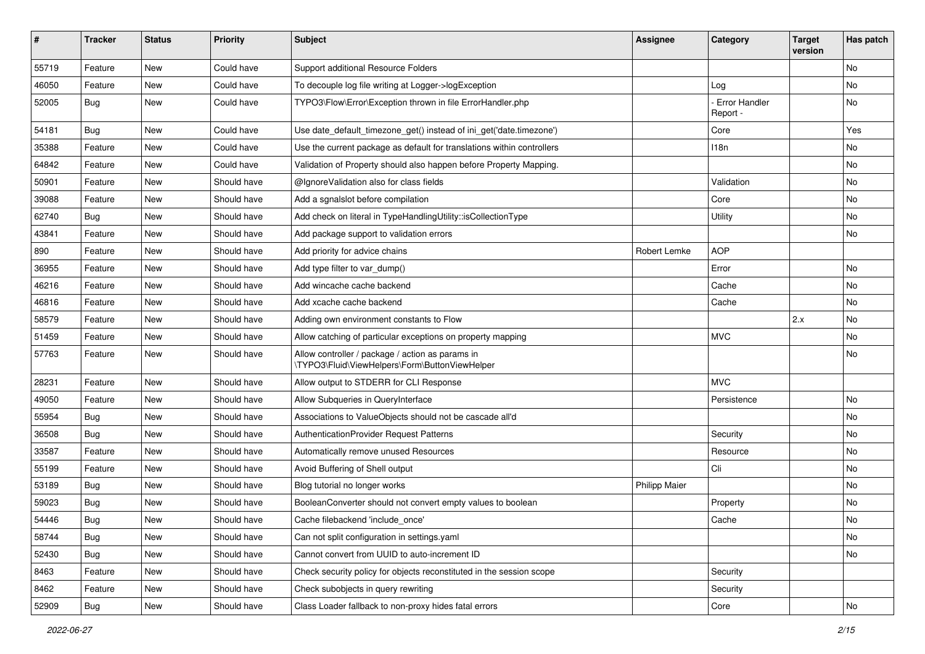| $\pmb{\#}$ | Tracker          | <b>Status</b> | Priority    | <b>Subject</b>                                                                                     | <b>Assignee</b>      | Category                         | <b>Target</b><br>version | Has patch |
|------------|------------------|---------------|-------------|----------------------------------------------------------------------------------------------------|----------------------|----------------------------------|--------------------------|-----------|
| 55719      | Feature          | <b>New</b>    | Could have  | Support additional Resource Folders                                                                |                      |                                  |                          | No        |
| 46050      | Feature          | New           | Could have  | To decouple log file writing at Logger->logException                                               |                      | Log                              |                          | No        |
| 52005      | Bug              | New           | Could have  | TYPO3\Flow\Error\Exception thrown in file ErrorHandler.php                                         |                      | <b>Error Handler</b><br>Report - |                          | No        |
| 54181      | Bug              | <b>New</b>    | Could have  | Use date_default_timezone_get() instead of ini_get('date.timezone')                                |                      | Core                             |                          | Yes       |
| 35388      | Feature          | New           | Could have  | Use the current package as default for translations within controllers                             |                      | 118n                             |                          | <b>No</b> |
| 64842      | Feature          | New           | Could have  | Validation of Property should also happen before Property Mapping.                                 |                      |                                  |                          | No        |
| 50901      | Feature          | <b>New</b>    | Should have | @IgnoreValidation also for class fields                                                            |                      | Validation                       |                          | No        |
| 39088      | Feature          | New           | Should have | Add a sgnalslot before compilation                                                                 |                      | Core                             |                          | No        |
| 62740      | Bug              | New           | Should have | Add check on literal in TypeHandlingUtility::isCollectionType                                      |                      | Utility                          |                          | No        |
| 43841      | Feature          | New           | Should have | Add package support to validation errors                                                           |                      |                                  |                          | No        |
| 890        | Feature          | <b>New</b>    | Should have | Add priority for advice chains                                                                     | Robert Lemke         | <b>AOP</b>                       |                          |           |
| 36955      | Feature          | New           | Should have | Add type filter to var_dump()                                                                      |                      | Error                            |                          | No        |
| 46216      | Feature          | New           | Should have | Add wincache cache backend                                                                         |                      | Cache                            |                          | <b>No</b> |
| 46816      | Feature          | New           | Should have | Add xcache cache backend                                                                           |                      | Cache                            |                          | No        |
| 58579      | Feature          | New           | Should have | Adding own environment constants to Flow                                                           |                      |                                  | 2.x                      | No        |
| 51459      | Feature          | <b>New</b>    | Should have | Allow catching of particular exceptions on property mapping                                        |                      | <b>MVC</b>                       |                          | No        |
| 57763      | Feature          | New           | Should have | Allow controller / package / action as params in<br>\TYPO3\Fluid\ViewHelpers\Form\ButtonViewHelper |                      |                                  |                          | No        |
| 28231      | Feature          | New           | Should have | Allow output to STDERR for CLI Response                                                            |                      | <b>MVC</b>                       |                          |           |
| 49050      | Feature          | New           | Should have | Allow Subqueries in QueryInterface                                                                 |                      | Persistence                      |                          | No        |
| 55954      | Bug              | New           | Should have | Associations to ValueObjects should not be cascade all'd                                           |                      |                                  |                          | No        |
| 36508      | Bug              | New           | Should have | AuthenticationProvider Request Patterns                                                            |                      | Security                         |                          | No        |
| 33587      | Feature          | New           | Should have | Automatically remove unused Resources                                                              |                      | Resource                         |                          | No        |
| 55199      | Feature          | <b>New</b>    | Should have | Avoid Buffering of Shell output                                                                    |                      | Cli                              |                          | No        |
| 53189      | Bug              | New           | Should have | Blog tutorial no longer works                                                                      | <b>Philipp Maier</b> |                                  |                          | No        |
| 59023      | <b>Bug</b>       | New           | Should have | BooleanConverter should not convert empty values to boolean                                        |                      | Property                         |                          | No        |
| 54446      | <sub>I</sub> Bug | New           | Should have | Cache filebackend 'include_once'                                                                   |                      | Cache                            |                          | No        |
| 58744      | <b>Bug</b>       | New           | Should have | Can not split configuration in settings.yaml                                                       |                      |                                  |                          | No        |
| 52430      | Bug              | New           | Should have | Cannot convert from UUID to auto-increment ID                                                      |                      |                                  |                          | No        |
| 8463       | Feature          | New           | Should have | Check security policy for objects reconstituted in the session scope                               |                      | Security                         |                          |           |
| 8462       | Feature          | New           | Should have | Check subobjects in query rewriting                                                                |                      | Security                         |                          |           |
| 52909      | Bug              | New           | Should have | Class Loader fallback to non-proxy hides fatal errors                                              |                      | Core                             |                          | No        |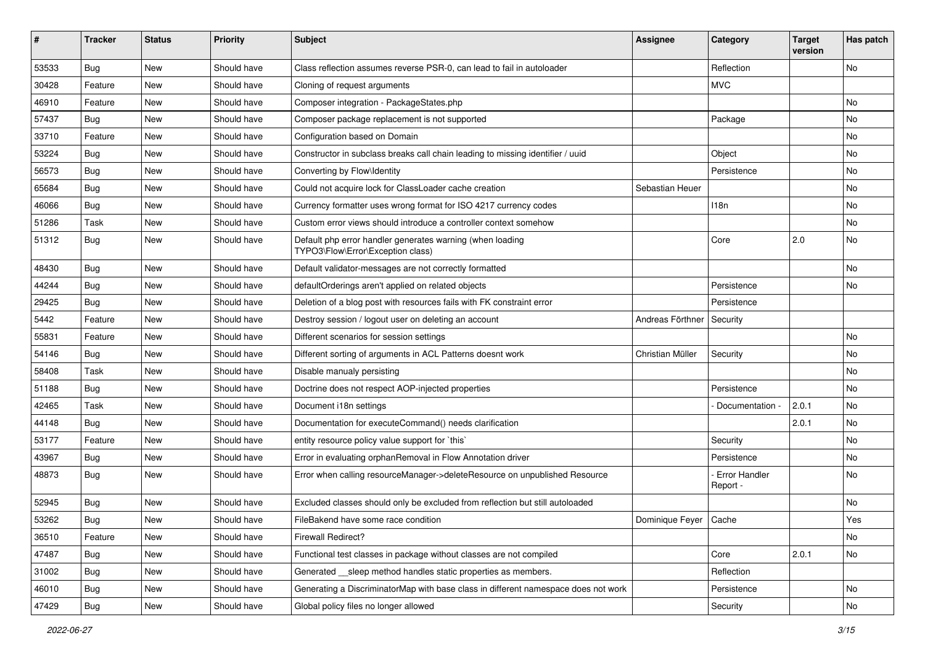| ∦     | <b>Tracker</b> | <b>Status</b> | <b>Priority</b> | Subject                                                                                        | <b>Assignee</b>         | Category                  | <b>Target</b><br>version | Has patch |
|-------|----------------|---------------|-----------------|------------------------------------------------------------------------------------------------|-------------------------|---------------------------|--------------------------|-----------|
| 53533 | Bug            | New           | Should have     | Class reflection assumes reverse PSR-0, can lead to fail in autoloader                         |                         | Reflection                |                          | No        |
| 30428 | Feature        | <b>New</b>    | Should have     | Cloning of request arguments                                                                   |                         | <b>MVC</b>                |                          |           |
| 46910 | Feature        | New           | Should have     | Composer integration - PackageStates.php                                                       |                         |                           |                          | <b>No</b> |
| 57437 | Bug            | <b>New</b>    | Should have     | Composer package replacement is not supported                                                  |                         | Package                   |                          | <b>No</b> |
| 33710 | Feature        | New           | Should have     | Configuration based on Domain                                                                  |                         |                           |                          | No        |
| 53224 | Bug            | <b>New</b>    | Should have     | Constructor in subclass breaks call chain leading to missing identifier / uuid                 |                         | Object                    |                          | <b>No</b> |
| 56573 | <b>Bug</b>     | New           | Should have     | Converting by Flow\Identity                                                                    |                         | Persistence               |                          | No        |
| 65684 | <b>Bug</b>     | New           | Should have     | Could not acquire lock for ClassLoader cache creation                                          | Sebastian Heuer         |                           |                          | <b>No</b> |
| 46066 | Bug            | New           | Should have     | Currency formatter uses wrong format for ISO 4217 currency codes                               |                         | 118n                      |                          | No        |
| 51286 | Task           | New           | Should have     | Custom error views should introduce a controller context somehow                               |                         |                           |                          | No        |
| 51312 | <b>Bug</b>     | New           | Should have     | Default php error handler generates warning (when loading<br>TYPO3\Flow\Error\Exception class) |                         | Core                      | 2.0                      | No        |
| 48430 | Bug            | New           | Should have     | Default validator-messages are not correctly formatted                                         |                         |                           |                          | <b>No</b> |
| 44244 | Bug            | <b>New</b>    | Should have     | defaultOrderings aren't applied on related objects                                             |                         | Persistence               |                          | <b>No</b> |
| 29425 | <b>Bug</b>     | New           | Should have     | Deletion of a blog post with resources fails with FK constraint error                          |                         | Persistence               |                          |           |
| 5442  | Feature        | New           | Should have     | Destroy session / logout user on deleting an account                                           | Andreas Förthner        | Security                  |                          |           |
| 55831 | Feature        | <b>New</b>    | Should have     | Different scenarios for session settings                                                       |                         |                           |                          | <b>No</b> |
| 54146 | <b>Bug</b>     | New           | Should have     | Different sorting of arguments in ACL Patterns doesnt work                                     | Christian Müller        | Security                  |                          | No        |
| 58408 | Task           | New           | Should have     | Disable manualy persisting                                                                     |                         |                           |                          | <b>No</b> |
| 51188 | Bug            | New           | Should have     | Doctrine does not respect AOP-injected properties                                              |                         | Persistence               |                          | No        |
| 42465 | Task           | <b>New</b>    | Should have     | Document i18n settings                                                                         |                         | Documentation -           | 2.0.1                    | No        |
| 44148 | Bug            | New           | Should have     | Documentation for executeCommand() needs clarification                                         |                         |                           | 2.0.1                    | No        |
| 53177 | Feature        | New           | Should have     | entity resource policy value support for `this`                                                |                         | Security                  |                          | No        |
| 43967 | <b>Bug</b>     | New           | Should have     | Error in evaluating orphanRemoval in Flow Annotation driver                                    |                         | Persistence               |                          | No        |
| 48873 | <b>Bug</b>     | <b>New</b>    | Should have     | Error when calling resourceManager->deleteResource on unpublished Resource                     |                         | Error Handler<br>Report - |                          | <b>No</b> |
| 52945 | <b>Bug</b>     | <b>New</b>    | Should have     | Excluded classes should only be excluded from reflection but still autoloaded                  |                         |                           |                          | No        |
| 53262 | Bug            | New           | Should have     | FileBakend have some race condition                                                            | Dominique Feyer   Cache |                           |                          | Yes       |
| 36510 | Feature        | New           | Should have     | Firewall Redirect?                                                                             |                         |                           |                          | No        |
| 47487 | Bug            | New           | Should have     | Functional test classes in package without classes are not compiled                            |                         | Core                      | 2.0.1                    | No        |
| 31002 | <b>Bug</b>     | New           | Should have     | Generated sleep method handles static properties as members.                                   |                         | Reflection                |                          |           |
| 46010 | Bug            | New           | Should have     | Generating a DiscriminatorMap with base class in different namespace does not work             |                         | Persistence               |                          | No        |
| 47429 | Bug            | New           | Should have     | Global policy files no longer allowed                                                          |                         | Security                  |                          | No        |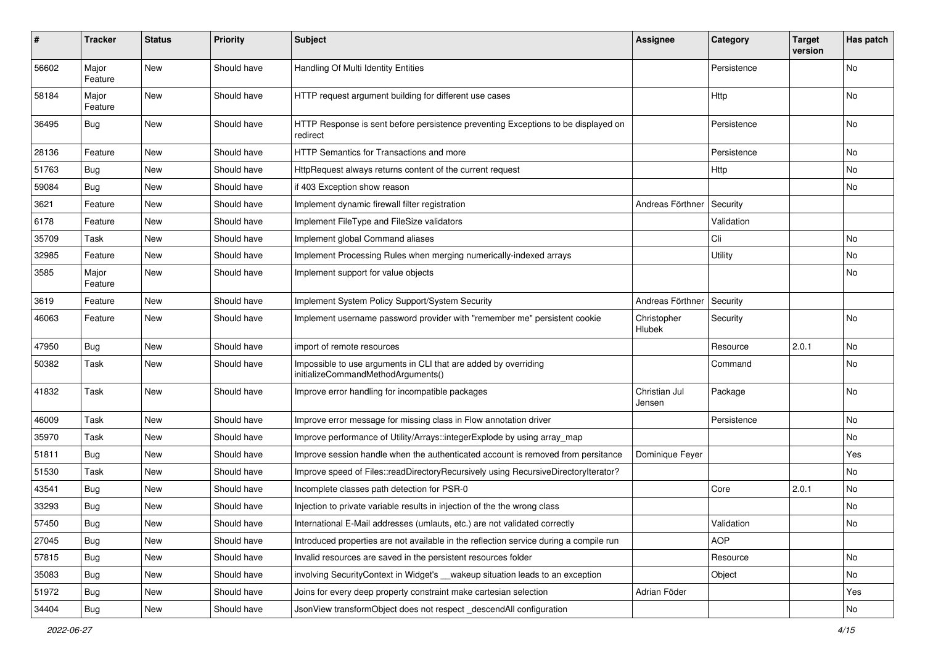| #     | Tracker          | <b>Status</b> | <b>Priority</b> | <b>Subject</b>                                                                                        | <b>Assignee</b>         | Category    | <b>Target</b><br>version | Has patch |
|-------|------------------|---------------|-----------------|-------------------------------------------------------------------------------------------------------|-------------------------|-------------|--------------------------|-----------|
| 56602 | Major<br>Feature | New           | Should have     | Handling Of Multi Identity Entities                                                                   |                         | Persistence |                          | No.       |
| 58184 | Major<br>Feature | New           | Should have     | HTTP request argument building for different use cases                                                |                         | Http        |                          | No        |
| 36495 | <b>Bug</b>       | New           | Should have     | HTTP Response is sent before persistence preventing Exceptions to be displayed on<br>redirect         |                         | Persistence |                          | No        |
| 28136 | Feature          | New           | Should have     | HTTP Semantics for Transactions and more                                                              |                         | Persistence |                          | No        |
| 51763 | Bug              | New           | Should have     | HttpRequest always returns content of the current request                                             |                         | Http        |                          | No        |
| 59084 | <b>Bug</b>       | New           | Should have     | if 403 Exception show reason                                                                          |                         |             |                          | No        |
| 3621  | Feature          | New           | Should have     | Implement dynamic firewall filter registration                                                        | Andreas Förthner        | Security    |                          |           |
| 6178  | Feature          | New           | Should have     | Implement FileType and FileSize validators                                                            |                         | Validation  |                          |           |
| 35709 | Task             | <b>New</b>    | Should have     | Implement global Command aliases                                                                      |                         | Cli         |                          | No        |
| 32985 | Feature          | New           | Should have     | Implement Processing Rules when merging numerically-indexed arrays                                    |                         | Utility     |                          | No        |
| 3585  | Major<br>Feature | New           | Should have     | Implement support for value objects                                                                   |                         |             |                          | No        |
| 3619  | Feature          | New           | Should have     | Implement System Policy Support/System Security                                                       | Andreas Förthner        | Security    |                          |           |
| 46063 | Feature          | New           | Should have     | Implement username password provider with "remember me" persistent cookie                             | Christopher<br>Hlubek   | Security    |                          | No        |
| 47950 | Bug              | New           | Should have     | import of remote resources                                                                            |                         | Resource    | 2.0.1                    | No        |
| 50382 | Task             | New           | Should have     | Impossible to use arguments in CLI that are added by overriding<br>initializeCommandMethodArguments() |                         | Command     |                          | No        |
| 41832 | Task             | New           | Should have     | Improve error handling for incompatible packages                                                      | Christian Jul<br>Jensen | Package     |                          | No.       |
| 46009 | Task             | <b>New</b>    | Should have     | Improve error message for missing class in Flow annotation driver                                     |                         | Persistence |                          | No        |
| 35970 | Task             | New           | Should have     | Improve performance of Utility/Arrays::integerExplode by using array_map                              |                         |             |                          | No        |
| 51811 | Bug              | New           | Should have     | Improve session handle when the authenticated account is removed from persitance                      | Dominique Feyer         |             |                          | Yes       |
| 51530 | Task             | New           | Should have     | Improve speed of Files::readDirectoryRecursively using RecursiveDirectoryIterator?                    |                         |             |                          | No        |
| 43541 | Bug              | New           | Should have     | Incomplete classes path detection for PSR-0                                                           |                         | Core        | 2.0.1                    | No        |
| 33293 | Bug              | New           | Should have     | Injection to private variable results in injection of the the wrong class                             |                         |             |                          | No        |
| 57450 | <b>Bug</b>       | New           | Should have     | International E-Mail addresses (umlauts, etc.) are not validated correctly                            |                         | Validation  |                          | No        |
| 27045 | <b>Bug</b>       | New           | Should have     | Introduced properties are not available in the reflection service during a compile run                |                         | AOP         |                          |           |
| 57815 | <b>Bug</b>       | New           | Should have     | Invalid resources are saved in the persistent resources folder                                        |                         | Resource    |                          | No        |
| 35083 | Bug              | New           | Should have     | involving SecurityContext in Widget's __wakeup situation leads to an exception                        |                         | Object      |                          | No        |
| 51972 | Bug              | New           | Should have     | Joins for every deep property constraint make cartesian selection                                     | Adrian Föder            |             |                          | Yes       |
| 34404 | <b>Bug</b>       | New           | Should have     | JsonView transformObject does not respect_descendAll configuration                                    |                         |             |                          | No        |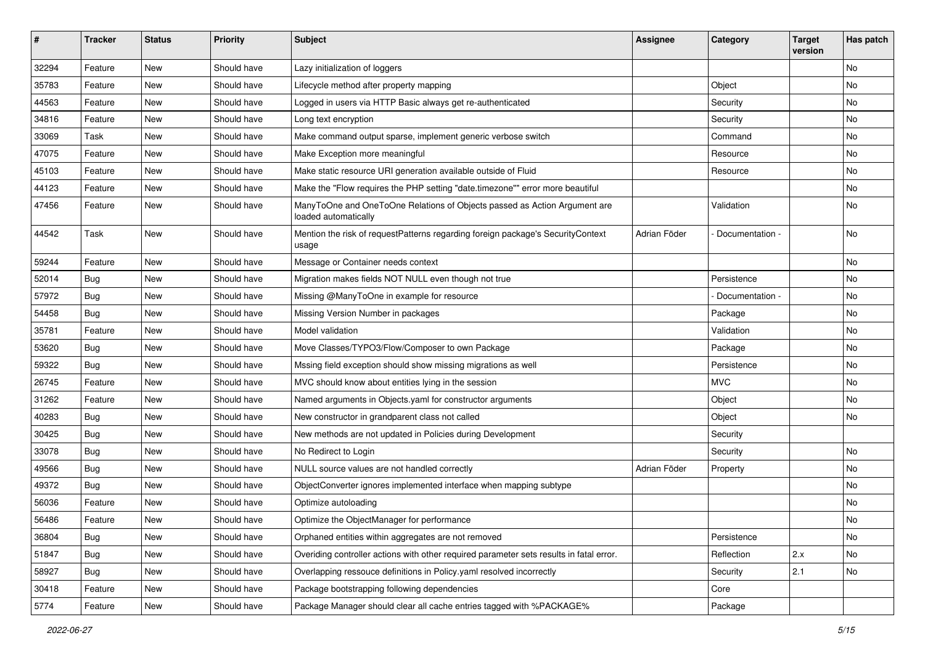| ∦     | <b>Tracker</b> | <b>Status</b> | <b>Priority</b> | Subject                                                                                           | <b>Assignee</b> | Category        | <b>Target</b><br>version | Has patch |
|-------|----------------|---------------|-----------------|---------------------------------------------------------------------------------------------------|-----------------|-----------------|--------------------------|-----------|
| 32294 | Feature        | New           | Should have     | Lazy initialization of loggers                                                                    |                 |                 |                          | No        |
| 35783 | Feature        | <b>New</b>    | Should have     | Lifecycle method after property mapping                                                           |                 | Object          |                          | No        |
| 44563 | Feature        | New           | Should have     | Logged in users via HTTP Basic always get re-authenticated                                        |                 | Security        |                          | No        |
| 34816 | Feature        | New           | Should have     | Long text encryption                                                                              |                 | Security        |                          | No        |
| 33069 | Task           | New           | Should have     | Make command output sparse, implement generic verbose switch                                      |                 | Command         |                          | No        |
| 47075 | Feature        | New           | Should have     | Make Exception more meaningful                                                                    |                 | Resource        |                          | <b>No</b> |
| 45103 | Feature        | New           | Should have     | Make static resource URI generation available outside of Fluid                                    |                 | Resource        |                          | No        |
| 44123 | Feature        | New           | Should have     | Make the "Flow requires the PHP setting "date.timezone"" error more beautiful                     |                 |                 |                          | No        |
| 47456 | Feature        | New           | Should have     | ManyToOne and OneToOne Relations of Objects passed as Action Argument are<br>loaded automatically |                 | Validation      |                          | No        |
| 44542 | Task           | New           | Should have     | Mention the risk of requestPatterns regarding foreign package's SecurityContext<br>usage          | Adrian Föder    | Documentation - |                          | No        |
| 59244 | Feature        | New           | Should have     | Message or Container needs context                                                                |                 |                 |                          | No        |
| 52014 | Bug            | New           | Should have     | Migration makes fields NOT NULL even though not true                                              |                 | Persistence     |                          | <b>No</b> |
| 57972 | <b>Bug</b>     | New           | Should have     | Missing @ManyToOne in example for resource                                                        |                 | Documentation - |                          | No        |
| 54458 | <b>Bug</b>     | New           | Should have     | Missing Version Number in packages                                                                |                 | Package         |                          | <b>No</b> |
| 35781 | Feature        | New           | Should have     | Model validation                                                                                  |                 | Validation      |                          | No        |
| 53620 | Bug            | New           | Should have     | Move Classes/TYPO3/Flow/Composer to own Package                                                   |                 | Package         |                          | No        |
| 59322 | <b>Bug</b>     | New           | Should have     | Mssing field exception should show missing migrations as well                                     |                 | Persistence     |                          | No        |
| 26745 | Feature        | New           | Should have     | MVC should know about entities lying in the session                                               |                 | <b>MVC</b>      |                          | No        |
| 31262 | Feature        | New           | Should have     | Named arguments in Objects.yaml for constructor arguments                                         |                 | Object          |                          | No        |
| 40283 | Bug            | New           | Should have     | New constructor in grandparent class not called                                                   |                 | Object          |                          | No        |
| 30425 | <b>Bug</b>     | New           | Should have     | New methods are not updated in Policies during Development                                        |                 | Security        |                          |           |
| 33078 | <b>Bug</b>     | New           | Should have     | No Redirect to Login                                                                              |                 | Security        |                          | No        |
| 49566 | Bug            | New           | Should have     | NULL source values are not handled correctly                                                      | Adrian Föder    | Property        |                          | No        |
| 49372 | <b>Bug</b>     | New           | Should have     | ObjectConverter ignores implemented interface when mapping subtype                                |                 |                 |                          | No        |
| 56036 | Feature        | New           | Should have     | Optimize autoloading                                                                              |                 |                 |                          | No        |
| 56486 | Feature        | New           | Should have     | Optimize the ObjectManager for performance                                                        |                 |                 |                          | No        |
| 36804 | <b>Bug</b>     | New           | Should have     | Orphaned entities within aggregates are not removed                                               |                 | Persistence     |                          | No        |
| 51847 | Bug            | New           | Should have     | Overiding controller actions with other required parameter sets results in fatal error.           |                 | Reflection      | 2.x                      | No        |
| 58927 | Bug            | New           | Should have     | Overlapping ressouce definitions in Policy yaml resolved incorrectly                              |                 | Security        | 2.1                      | No        |
| 30418 | Feature        | New           | Should have     | Package bootstrapping following dependencies                                                      |                 | Core            |                          |           |
| 5774  | Feature        | New           | Should have     | Package Manager should clear all cache entries tagged with %PACKAGE%                              |                 | Package         |                          |           |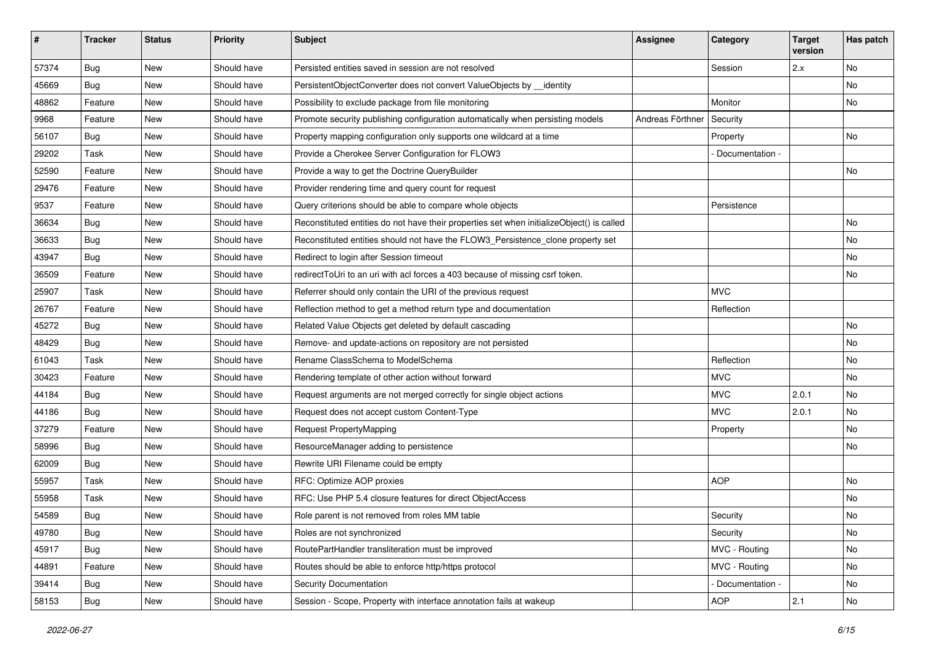| #     | <b>Tracker</b> | <b>Status</b> | <b>Priority</b> | <b>Subject</b>                                                                            | Assignee         | Category          | <b>Target</b><br>version | Has patch |
|-------|----------------|---------------|-----------------|-------------------------------------------------------------------------------------------|------------------|-------------------|--------------------------|-----------|
| 57374 | Bug            | New           | Should have     | Persisted entities saved in session are not resolved                                      |                  | Session           | 2.x                      | No        |
| 45669 | Bug            | New           | Should have     | PersistentObjectConverter does not convert ValueObjects by __identity                     |                  |                   |                          | No        |
| 48862 | Feature        | New           | Should have     | Possibility to exclude package from file monitoring                                       |                  | Monitor           |                          | No        |
| 9968  | Feature        | New           | Should have     | Promote security publishing configuration automatically when persisting models            | Andreas Förthner | Security          |                          |           |
| 56107 | <b>Bug</b>     | New           | Should have     | Property mapping configuration only supports one wildcard at a time                       |                  | Property          |                          | No        |
| 29202 | Task           | New           | Should have     | Provide a Cherokee Server Configuration for FLOW3                                         |                  | Documentation -   |                          |           |
| 52590 | Feature        | New           | Should have     | Provide a way to get the Doctrine QueryBuilder                                            |                  |                   |                          | No        |
| 29476 | Feature        | New           | Should have     | Provider rendering time and query count for request                                       |                  |                   |                          |           |
| 9537  | Feature        | New           | Should have     | Query criterions should be able to compare whole objects                                  |                  | Persistence       |                          |           |
| 36634 | Bug            | New           | Should have     | Reconstituted entities do not have their properties set when initializeObject() is called |                  |                   |                          | No        |
| 36633 | Bug            | New           | Should have     | Reconstituted entities should not have the FLOW3_Persistence_clone property set           |                  |                   |                          | <b>No</b> |
| 43947 | <b>Bug</b>     | New           | Should have     | Redirect to login after Session timeout                                                   |                  |                   |                          | No        |
| 36509 | Feature        | New           | Should have     | redirectToUri to an uri with acl forces a 403 because of missing csrf token.              |                  |                   |                          | No        |
| 25907 | Task           | New           | Should have     | Referrer should only contain the URI of the previous request                              |                  | <b>MVC</b>        |                          |           |
| 26767 | Feature        | New           | Should have     | Reflection method to get a method return type and documentation                           |                  | Reflection        |                          |           |
| 45272 | <b>Bug</b>     | New           | Should have     | Related Value Objects get deleted by default cascading                                    |                  |                   |                          | <b>No</b> |
| 48429 | Bug            | New           | Should have     | Remove- and update-actions on repository are not persisted                                |                  |                   |                          | No        |
| 61043 | Task           | New           | Should have     | Rename ClassSchema to ModelSchema                                                         |                  | Reflection        |                          | No        |
| 30423 | Feature        | New           | Should have     | Rendering template of other action without forward                                        |                  | <b>MVC</b>        |                          | No        |
| 44184 | <b>Bug</b>     | New           | Should have     | Request arguments are not merged correctly for single object actions                      |                  | <b>MVC</b>        | 2.0.1                    | <b>No</b> |
| 44186 | <b>Bug</b>     | New           | Should have     | Request does not accept custom Content-Type                                               |                  | <b>MVC</b>        | 2.0.1                    | No        |
| 37279 | Feature        | New           | Should have     | Request PropertyMapping                                                                   |                  | Property          |                          | No        |
| 58996 | <b>Bug</b>     | New           | Should have     | ResourceManager adding to persistence                                                     |                  |                   |                          | No        |
| 62009 | Bug            | New           | Should have     | Rewrite URI Filename could be empty                                                       |                  |                   |                          |           |
| 55957 | Task           | New           | Should have     | RFC: Optimize AOP proxies                                                                 |                  | <b>AOP</b>        |                          | No        |
| 55958 | Task           | New           | Should have     | RFC: Use PHP 5.4 closure features for direct ObjectAccess                                 |                  |                   |                          | No        |
| 54589 | Bug            | New           | Should have     | Role parent is not removed from roles MM table                                            |                  | Security          |                          | No        |
| 49780 | <b>Bug</b>     | New           | Should have     | Roles are not synchronized                                                                |                  | Security          |                          | No        |
| 45917 | <b>Bug</b>     | New           | Should have     | RoutePartHandler transliteration must be improved                                         |                  | MVC - Routing     |                          | No        |
| 44891 | Feature        | New           | Should have     | Routes should be able to enforce http/https protocol                                      |                  | MVC - Routing     |                          | No        |
| 39414 | Bug            | New           | Should have     | Security Documentation                                                                    |                  | - Documentation - |                          | No        |
| 58153 | <b>Bug</b>     | New           | Should have     | Session - Scope, Property with interface annotation fails at wakeup                       |                  | <b>AOP</b>        | 2.1                      | No        |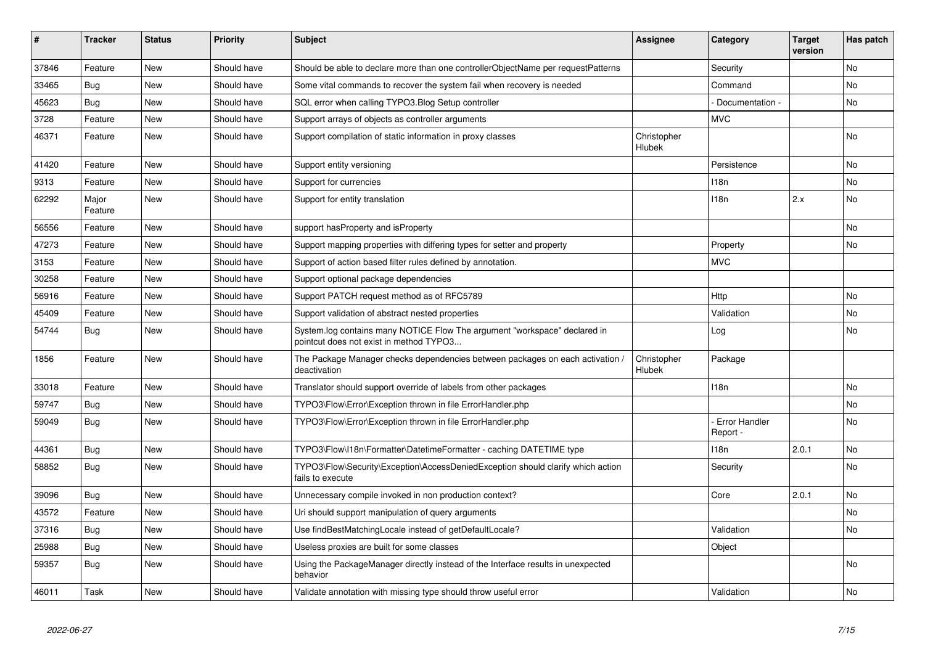| ∦     | <b>Tracker</b>   | <b>Status</b> | <b>Priority</b> | <b>Subject</b>                                                                                                       | <b>Assignee</b>       | Category                  | <b>Target</b><br>version | Has patch |
|-------|------------------|---------------|-----------------|----------------------------------------------------------------------------------------------------------------------|-----------------------|---------------------------|--------------------------|-----------|
| 37846 | Feature          | <b>New</b>    | Should have     | Should be able to declare more than one controllerObjectName per requestPatterns                                     |                       | Security                  |                          | <b>No</b> |
| 33465 | <b>Bug</b>       | <b>New</b>    | Should have     | Some vital commands to recover the system fail when recovery is needed                                               |                       | Command                   |                          | <b>No</b> |
| 45623 | Bug              | <b>New</b>    | Should have     | SQL error when calling TYPO3.Blog Setup controller                                                                   |                       | Documentation -           |                          | <b>No</b> |
| 3728  | Feature          | <b>New</b>    | Should have     | Support arrays of objects as controller arguments                                                                    |                       | <b>MVC</b>                |                          |           |
| 46371 | Feature          | <b>New</b>    | Should have     | Support compilation of static information in proxy classes                                                           | Christopher<br>Hlubek |                           |                          | <b>No</b> |
| 41420 | Feature          | <b>New</b>    | Should have     | Support entity versioning                                                                                            |                       | Persistence               |                          | <b>No</b> |
| 9313  | Feature          | <b>New</b>    | Should have     | Support for currencies                                                                                               |                       | 118 <sub>n</sub>          |                          | <b>No</b> |
| 62292 | Major<br>Feature | New           | Should have     | Support for entity translation                                                                                       |                       | 118n                      | 2.x                      | <b>No</b> |
| 56556 | Feature          | <b>New</b>    | Should have     | support hasProperty and isProperty                                                                                   |                       |                           |                          | <b>No</b> |
| 47273 | Feature          | <b>New</b>    | Should have     | Support mapping properties with differing types for setter and property                                              |                       | Property                  |                          | <b>No</b> |
| 3153  | Feature          | <b>New</b>    | Should have     | Support of action based filter rules defined by annotation.                                                          |                       | <b>MVC</b>                |                          |           |
| 30258 | Feature          | New           | Should have     | Support optional package dependencies                                                                                |                       |                           |                          |           |
| 56916 | Feature          | <b>New</b>    | Should have     | Support PATCH request method as of RFC5789                                                                           |                       | Http                      |                          | <b>No</b> |
| 45409 | Feature          | <b>New</b>    | Should have     | Support validation of abstract nested properties                                                                     |                       | Validation                |                          | <b>No</b> |
| 54744 | Bug              | <b>New</b>    | Should have     | System.log contains many NOTICE Flow The argument "workspace" declared in<br>pointcut does not exist in method TYPO3 |                       | Log                       |                          | <b>No</b> |
| 1856  | Feature          | <b>New</b>    | Should have     | The Package Manager checks dependencies between packages on each activation /<br>deactivation                        | Christopher<br>Hlubek | Package                   |                          |           |
| 33018 | Feature          | <b>New</b>    | Should have     | Translator should support override of labels from other packages                                                     |                       | 118n                      |                          | No        |
| 59747 | <b>Bug</b>       | <b>New</b>    | Should have     | TYPO3\Flow\Error\Exception thrown in file ErrorHandler.php                                                           |                       |                           |                          | <b>No</b> |
| 59049 | <b>Bug</b>       | <b>New</b>    | Should have     | TYPO3\Flow\Error\Exception thrown in file ErrorHandler.php                                                           |                       | Error Handler<br>Report - |                          | <b>No</b> |
| 44361 | Bug              | <b>New</b>    | Should have     | TYPO3\Flow\I18n\Formatter\DatetimeFormatter - caching DATETIME type                                                  |                       | 118n                      | 2.0.1                    | <b>No</b> |
| 58852 | <b>Bug</b>       | <b>New</b>    | Should have     | TYPO3\Flow\Security\Exception\AccessDeniedException should clarify which action<br>fails to execute                  |                       | Security                  |                          | No        |
| 39096 | <b>Bug</b>       | <b>New</b>    | Should have     | Unnecessary compile invoked in non production context?                                                               |                       | Core                      | 2.0.1                    | <b>No</b> |
| 43572 | Feature          | <b>New</b>    | Should have     | Uri should support manipulation of query arguments                                                                   |                       |                           |                          | <b>No</b> |
| 37316 | Bug              | <b>New</b>    | Should have     | Use findBestMatchingLocale instead of getDefaultLocale?                                                              |                       | Validation                |                          | No        |
| 25988 | <b>Bug</b>       | <b>New</b>    | Should have     | Useless proxies are built for some classes                                                                           |                       | Object                    |                          |           |
| 59357 | Bug              | <b>New</b>    | Should have     | Using the PackageManager directly instead of the Interface results in unexpected<br>behavior                         |                       |                           |                          | <b>No</b> |
| 46011 | Task             | <b>New</b>    | Should have     | Validate annotation with missing type should throw useful error                                                      |                       | Validation                |                          | No        |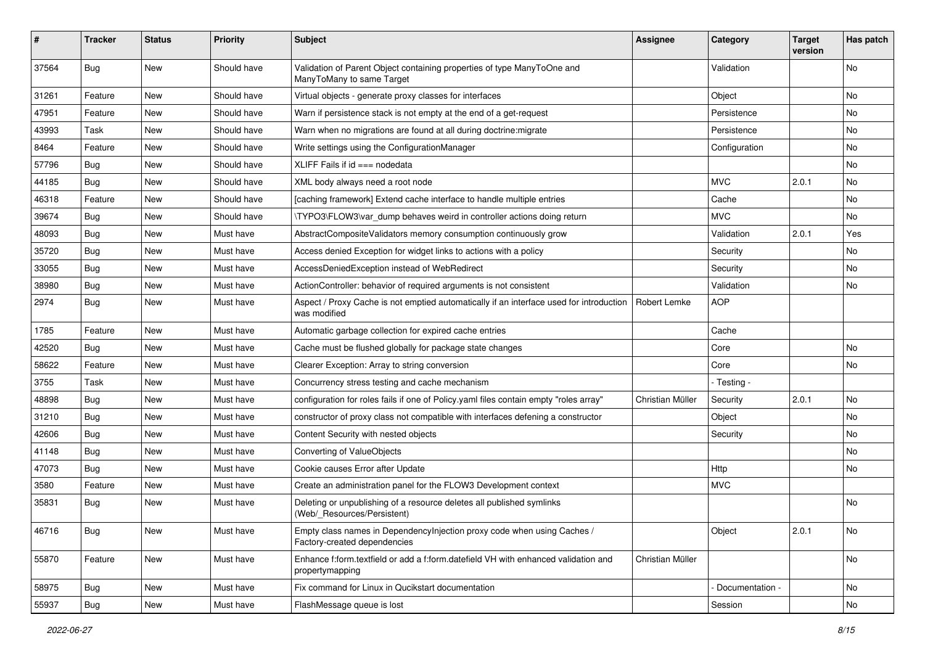| #     | <b>Tracker</b> | <b>Status</b> | <b>Priority</b> | <b>Subject</b>                                                                                          | Assignee         | Category        | <b>Target</b><br>version | Has patch |
|-------|----------------|---------------|-----------------|---------------------------------------------------------------------------------------------------------|------------------|-----------------|--------------------------|-----------|
| 37564 | Bug            | New           | Should have     | Validation of Parent Object containing properties of type ManyToOne and<br>ManyToMany to same Target    |                  | Validation      |                          | No        |
| 31261 | Feature        | New           | Should have     | Virtual objects - generate proxy classes for interfaces                                                 |                  | Object          |                          | No        |
| 47951 | Feature        | <b>New</b>    | Should have     | Warn if persistence stack is not empty at the end of a get-request                                      |                  | Persistence     |                          | No        |
| 43993 | Task           | New           | Should have     | Warn when no migrations are found at all during doctrine: migrate                                       |                  | Persistence     |                          | No        |
| 8464  | Feature        | New           | Should have     | Write settings using the ConfigurationManager                                                           |                  | Configuration   |                          | No.       |
| 57796 | <b>Bug</b>     | New           | Should have     | XLIFF Fails if $id ==$ nodedata                                                                         |                  |                 |                          | No        |
| 44185 | <b>Bug</b>     | New           | Should have     | XML body always need a root node                                                                        |                  | <b>MVC</b>      | 2.0.1                    | No        |
| 46318 | Feature        | New           | Should have     | [caching framework] Extend cache interface to handle multiple entries                                   |                  | Cache           |                          | No        |
| 39674 | <b>Bug</b>     | New           | Should have     | \TYPO3\FLOW3\var dump behaves weird in controller actions doing return                                  |                  | <b>MVC</b>      |                          | No        |
| 48093 | <b>Bug</b>     | New           | Must have       | AbstractCompositeValidators memory consumption continuously grow                                        |                  | Validation      | 2.0.1                    | Yes       |
| 35720 | <b>Bug</b>     | New           | Must have       | Access denied Exception for widget links to actions with a policy                                       |                  | Security        |                          | No        |
| 33055 | <b>Bug</b>     | New           | Must have       | AccessDeniedException instead of WebRedirect                                                            |                  | Security        |                          | No        |
| 38980 | <b>Bug</b>     | New           | Must have       | ActionController: behavior of required arguments is not consistent                                      |                  | Validation      |                          | No        |
| 2974  | Bug            | New           | Must have       | Aspect / Proxy Cache is not emptied automatically if an interface used for introduction<br>was modified | Robert Lemke     | <b>AOP</b>      |                          |           |
| 1785  | Feature        | <b>New</b>    | Must have       | Automatic garbage collection for expired cache entries                                                  |                  | Cache           |                          |           |
| 42520 | <b>Bug</b>     | New           | Must have       | Cache must be flushed globally for package state changes                                                |                  | Core            |                          | No        |
| 58622 | Feature        | New           | Must have       | Clearer Exception: Array to string conversion                                                           |                  | Core            |                          | No.       |
| 3755  | Task           | New           | Must have       | Concurrency stress testing and cache mechanism                                                          |                  | - Testing -     |                          |           |
| 48898 | <b>Bug</b>     | New           | Must have       | configuration for roles fails if one of Policy yaml files contain empty "roles array"                   | Christian Müller | Security        | 2.0.1                    | No.       |
| 31210 | <b>Bug</b>     | New           | Must have       | constructor of proxy class not compatible with interfaces defening a constructor                        |                  | Object          |                          | No        |
| 42606 | <b>Bug</b>     | New           | Must have       | Content Security with nested objects                                                                    |                  | Security        |                          | No        |
| 41148 | <b>Bug</b>     | <b>New</b>    | Must have       | Converting of ValueObjects                                                                              |                  |                 |                          | No        |
| 47073 | <b>Bug</b>     | New           | Must have       | Cookie causes Error after Update                                                                        |                  | Http            |                          | No        |
| 3580  | Feature        | New           | Must have       | Create an administration panel for the FLOW3 Development context                                        |                  | <b>MVC</b>      |                          |           |
| 35831 | <b>Bug</b>     | New           | Must have       | Deleting or unpublishing of a resource deletes all published symlinks<br>(Web/_Resources/Persistent)    |                  |                 |                          | No        |
| 46716 | <b>Bug</b>     | New           | Must have       | Empty class names in DependencyInjection proxy code when using Caches /<br>Factory-created dependencies |                  | Object          | 2.0.1                    | No        |
| 55870 | Feature        | New           | Must have       | Enhance f:form.textfield or add a f:form.datefield VH with enhanced validation and<br>propertymapping   | Christian Müller |                 |                          | No        |
| 58975 | Bug            | New           | Must have       | Fix command for Linux in Qucikstart documentation                                                       |                  | Documentation - |                          | No        |
| 55937 | <b>Bug</b>     | New           | Must have       | FlashMessage queue is lost                                                                              |                  | Session         |                          | No        |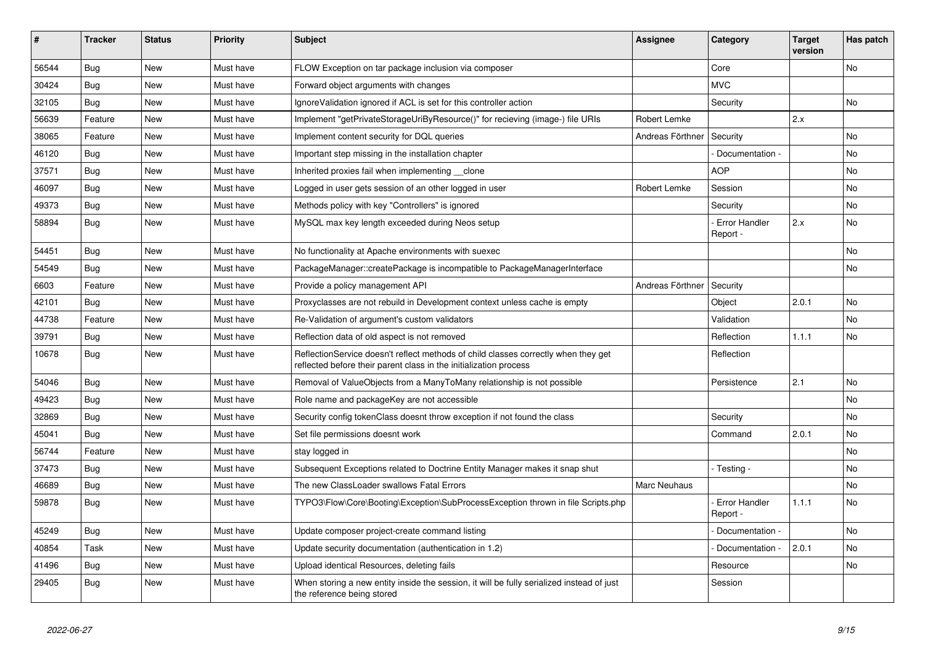| #     | <b>Tracker</b> | <b>Status</b> | <b>Priority</b> | <b>Subject</b>                                                                                                                                          | Assignee            | Category                    | <b>Target</b><br>version | Has patch      |
|-------|----------------|---------------|-----------------|---------------------------------------------------------------------------------------------------------------------------------------------------------|---------------------|-----------------------------|--------------------------|----------------|
| 56544 | Bug            | <b>New</b>    | Must have       | FLOW Exception on tar package inclusion via composer                                                                                                    |                     | Core                        |                          | <b>No</b>      |
| 30424 | Bug            | <b>New</b>    | Must have       | Forward object arguments with changes                                                                                                                   |                     | <b>MVC</b>                  |                          |                |
| 32105 | <b>Bug</b>     | <b>New</b>    | Must have       | IgnoreValidation ignored if ACL is set for this controller action                                                                                       |                     | Security                    |                          | <b>No</b>      |
| 56639 | Feature        | <b>New</b>    | Must have       | Implement "getPrivateStorageUriByResource()" for recieving (image-) file URIs                                                                           | Robert Lemke        |                             | 2.x                      |                |
| 38065 | Feature        | <b>New</b>    | Must have       | Implement content security for DQL queries                                                                                                              | Andreas Förthner    | Security                    |                          | <b>No</b>      |
| 46120 | Bug            | <b>New</b>    | Must have       | Important step missing in the installation chapter                                                                                                      |                     | Documentation -             |                          | No             |
| 37571 | <b>Bug</b>     | <b>New</b>    | Must have       | Inherited proxies fail when implementing clone                                                                                                          |                     | <b>AOP</b>                  |                          | No             |
| 46097 | <b>Bug</b>     | <b>New</b>    | Must have       | Logged in user gets session of an other logged in user                                                                                                  | <b>Robert Lemke</b> | Session                     |                          | No             |
| 49373 | <b>Bug</b>     | <b>New</b>    | Must have       | Methods policy with key "Controllers" is ignored                                                                                                        |                     | Security                    |                          | <b>No</b>      |
| 58894 | Bug            | <b>New</b>    | Must have       | MySQL max key length exceeded during Neos setup                                                                                                         |                     | - Error Handler<br>Report - | 2.x                      | <b>No</b>      |
| 54451 | Bug            | <b>New</b>    | Must have       | No functionality at Apache environments with suexec                                                                                                     |                     |                             |                          | No             |
| 54549 | Bug            | <b>New</b>    | Must have       | PackageManager::createPackage is incompatible to PackageManagerInterface                                                                                |                     |                             |                          | No             |
| 6603  | Feature        | <b>New</b>    | Must have       | Provide a policy management API                                                                                                                         | Andreas Förthner    | Security                    |                          |                |
| 42101 | <b>Bug</b>     | <b>New</b>    | Must have       | Proxyclasses are not rebuild in Development context unless cache is empty                                                                               |                     | Object                      | 2.0.1                    | No             |
| 44738 | Feature        | New           | Must have       | Re-Validation of argument's custom validators                                                                                                           |                     | Validation                  |                          | <b>No</b>      |
| 39791 | <b>Bug</b>     | New           | Must have       | Reflection data of old aspect is not removed                                                                                                            |                     | Reflection                  | 1.1.1                    | No             |
| 10678 | Bug            | New           | Must have       | ReflectionService doesn't reflect methods of child classes correctly when they get<br>reflected before their parent class in the initialization process |                     | Reflection                  |                          |                |
| 54046 | <b>Bug</b>     | <b>New</b>    | Must have       | Removal of ValueObjects from a ManyToMany relationship is not possible                                                                                  |                     | Persistence                 | 2.1                      | <b>No</b>      |
| 49423 | <b>Bug</b>     | <b>New</b>    | Must have       | Role name and packageKey are not accessible                                                                                                             |                     |                             |                          | No             |
| 32869 | <b>Bug</b>     | <b>New</b>    | Must have       | Security config tokenClass doesnt throw exception if not found the class                                                                                |                     | Security                    |                          | No.            |
| 45041 | Bug            | New           | Must have       | Set file permissions doesnt work                                                                                                                        |                     | Command                     | 2.0.1                    | No             |
| 56744 | Feature        | New           | Must have       | stay logged in                                                                                                                                          |                     |                             |                          | No             |
| 37473 | <b>Bug</b>     | <b>New</b>    | Must have       | Subsequent Exceptions related to Doctrine Entity Manager makes it snap shut                                                                             |                     | - Testing -                 |                          | N <sub>o</sub> |
| 46689 | <b>Bug</b>     | <b>New</b>    | Must have       | The new ClassLoader swallows Fatal Errors                                                                                                               | <b>Marc Neuhaus</b> |                             |                          | No             |
| 59878 | <b>Bug</b>     | <b>New</b>    | Must have       | TYPO3\Flow\Core\Booting\Exception\SubProcessException thrown in file Scripts.php                                                                        |                     | Error Handler<br>Report -   | 1.1.1                    | <b>No</b>      |
| 45249 | <b>Bug</b>     | <b>New</b>    | Must have       | Update composer project-create command listing                                                                                                          |                     | Documentation -             |                          | <b>No</b>      |
| 40854 | Task           | <b>New</b>    | Must have       | Update security documentation (authentication in 1.2)                                                                                                   |                     | - Documentation -           | 2.0.1                    | No             |
| 41496 | <b>Bug</b>     | <b>New</b>    | Must have       | Upload identical Resources, deleting fails                                                                                                              |                     | Resource                    |                          | No             |
| 29405 | <b>Bug</b>     | <b>New</b>    | Must have       | When storing a new entity inside the session, it will be fully serialized instead of just<br>the reference being stored                                 |                     | Session                     |                          |                |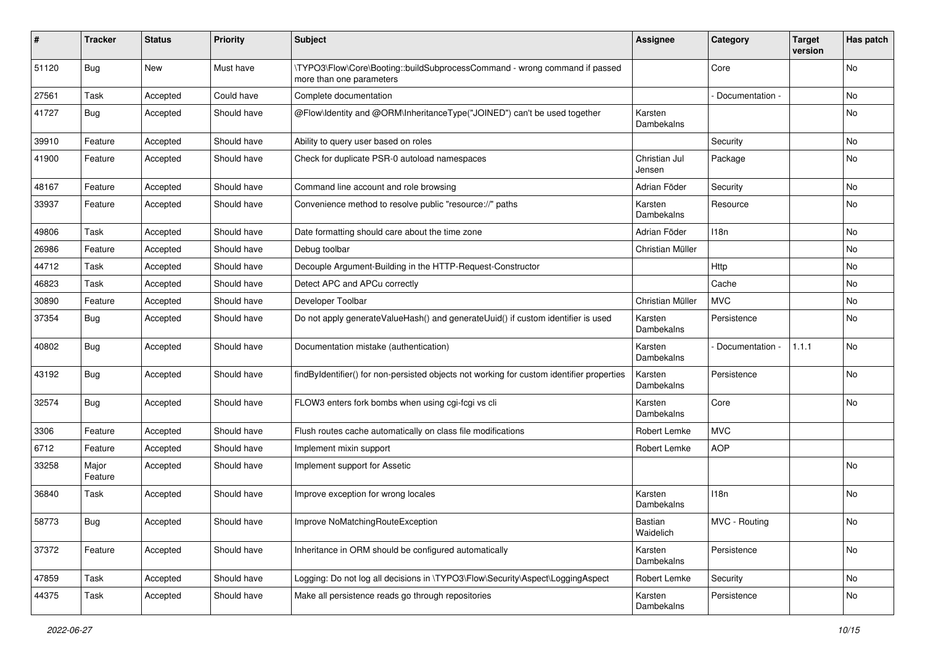| #     | <b>Tracker</b>   | <b>Status</b> | <b>Priority</b> | Subject                                                                                                | Assignee                | Category        | <b>Target</b><br>version | Has patch |
|-------|------------------|---------------|-----------------|--------------------------------------------------------------------------------------------------------|-------------------------|-----------------|--------------------------|-----------|
| 51120 | Bug              | New           | Must have       | \TYPO3\Flow\Core\Booting::buildSubprocessCommand - wrong command if passed<br>more than one parameters |                         | Core            |                          | No        |
| 27561 | Task             | Accepted      | Could have      | Complete documentation                                                                                 |                         | Documentation - |                          | No        |
| 41727 | Bug              | Accepted      | Should have     | @Flow\ldentity and @ORM\InheritanceType("JOINED") can't be used together                               | Karsten<br>Dambekalns   |                 |                          | No        |
| 39910 | Feature          | Accepted      | Should have     | Ability to query user based on roles                                                                   |                         | Security        |                          | No        |
| 41900 | Feature          | Accepted      | Should have     | Check for duplicate PSR-0 autoload namespaces                                                          | Christian Jul<br>Jensen | Package         |                          | No        |
| 48167 | Feature          | Accepted      | Should have     | Command line account and role browsing                                                                 | Adrian Föder            | Security        |                          | No        |
| 33937 | Feature          | Accepted      | Should have     | Convenience method to resolve public "resource://" paths                                               | Karsten<br>Dambekalns   | Resource        |                          | No        |
| 49806 | Task             | Accepted      | Should have     | Date formatting should care about the time zone                                                        | Adrian Föder            | 118n            |                          | No        |
| 26986 | Feature          | Accepted      | Should have     | Debug toolbar                                                                                          | Christian Müller        |                 |                          | No        |
| 44712 | Task             | Accepted      | Should have     | Decouple Argument-Building in the HTTP-Request-Constructor                                             |                         | Http            |                          | No        |
| 46823 | Task             | Accepted      | Should have     | Detect APC and APCu correctly                                                                          |                         | Cache           |                          | No        |
| 30890 | Feature          | Accepted      | Should have     | Developer Toolbar                                                                                      | Christian Müller        | <b>MVC</b>      |                          | No        |
| 37354 | Bug              | Accepted      | Should have     | Do not apply generateValueHash() and generateUuid() if custom identifier is used                       | Karsten<br>Dambekalns   | Persistence     |                          | No        |
| 40802 | <b>Bug</b>       | Accepted      | Should have     | Documentation mistake (authentication)                                                                 | Karsten<br>Dambekalns   | Documentation - | 1.1.1                    | No        |
| 43192 | Bug              | Accepted      | Should have     | findByIdentifier() for non-persisted objects not working for custom identifier properties              | Karsten<br>Dambekalns   | Persistence     |                          | No        |
| 32574 | Bug              | Accepted      | Should have     | FLOW3 enters fork bombs when using cgi-fcgi vs cli                                                     | Karsten<br>Dambekalns   | Core            |                          | No        |
| 3306  | Feature          | Accepted      | Should have     | Flush routes cache automatically on class file modifications                                           | Robert Lemke            | <b>MVC</b>      |                          |           |
| 6712  | Feature          | Accepted      | Should have     | Implement mixin support                                                                                | Robert Lemke            | <b>AOP</b>      |                          |           |
| 33258 | Major<br>Feature | Accepted      | Should have     | Implement support for Assetic                                                                          |                         |                 |                          | No        |
| 36840 | Task             | Accepted      | Should have     | Improve exception for wrong locales                                                                    | Karsten<br>Dambekalns   | 118n            |                          | No        |
| 58773 | Bug              | Accepted      | Should have     | Improve NoMatchingRouteException                                                                       | Bastian<br>Waidelich    | MVC - Routing   |                          | No        |
| 37372 | Feature          | Accepted      | Should have     | Inheritance in ORM should be configured automatically                                                  | Karsten<br>Dambekalns   | Persistence     |                          | No        |
| 47859 | Task             | Accepted      | Should have     | Logging: Do not log all decisions in \TYPO3\Flow\Security\Aspect\LoggingAspect                         | Robert Lemke            | Security        |                          | No        |
| 44375 | Task             | Accepted      | Should have     | Make all persistence reads go through repositories                                                     | Karsten<br>Dambekalns   | Persistence     |                          | No        |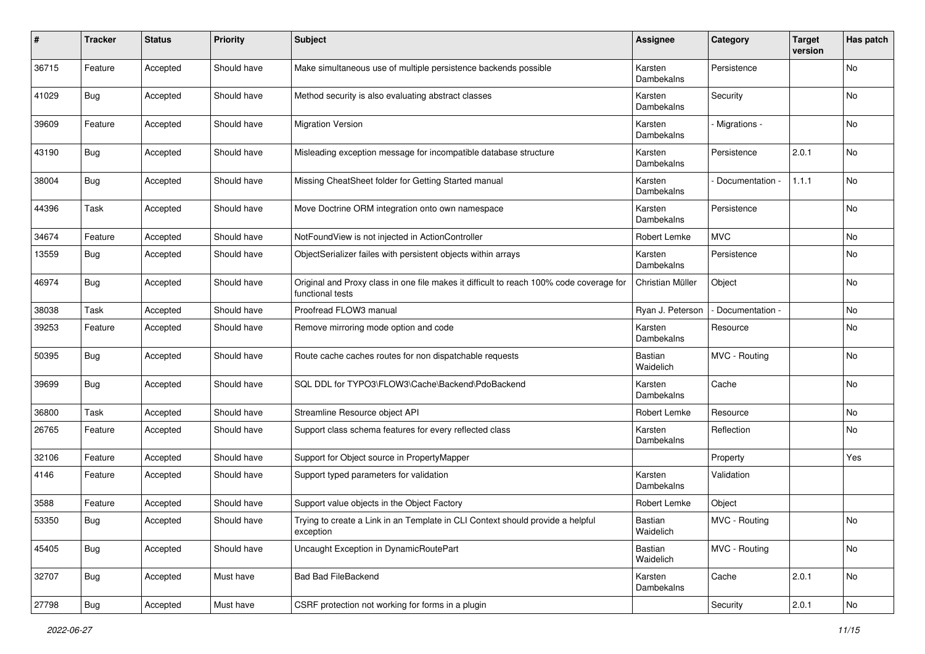| $\sharp$ | <b>Tracker</b> | <b>Status</b> | <b>Priority</b> | <b>Subject</b>                                                                                              | <b>Assignee</b>             | Category        | <b>Target</b><br>version | Has patch |
|----------|----------------|---------------|-----------------|-------------------------------------------------------------------------------------------------------------|-----------------------------|-----------------|--------------------------|-----------|
| 36715    | Feature        | Accepted      | Should have     | Make simultaneous use of multiple persistence backends possible                                             | Karsten<br>Dambekalns       | Persistence     |                          | No        |
| 41029    | <b>Bug</b>     | Accepted      | Should have     | Method security is also evaluating abstract classes                                                         | Karsten<br>Dambekalns       | Security        |                          | No        |
| 39609    | Feature        | Accepted      | Should have     | <b>Migration Version</b>                                                                                    | Karsten<br>Dambekalns       | Migrations -    |                          | No        |
| 43190    | Bug            | Accepted      | Should have     | Misleading exception message for incompatible database structure                                            | Karsten<br>Dambekalns       | Persistence     | 2.0.1                    | No        |
| 38004    | <b>Bug</b>     | Accepted      | Should have     | Missing CheatSheet folder for Getting Started manual                                                        | Karsten<br>Dambekalns       | Documentation - | 1.1.1                    | No        |
| 44396    | Task           | Accepted      | Should have     | Move Doctrine ORM integration onto own namespace                                                            | Karsten<br>Dambekalns       | Persistence     |                          | No        |
| 34674    | Feature        | Accepted      | Should have     | NotFoundView is not injected in ActionController                                                            | Robert Lemke                | <b>MVC</b>      |                          | No        |
| 13559    | Bug            | Accepted      | Should have     | ObjectSerializer failes with persistent objects within arrays                                               | Karsten<br>Dambekalns       | Persistence     |                          | No        |
| 46974    | Bug            | Accepted      | Should have     | Original and Proxy class in one file makes it difficult to reach 100% code coverage for<br>functional tests | Christian Müller            | Object          |                          | No        |
| 38038    | Task           | Accepted      | Should have     | Proofread FLOW3 manual                                                                                      | Ryan J. Peterson            | Documentation - |                          | No        |
| 39253    | Feature        | Accepted      | Should have     | Remove mirroring mode option and code                                                                       | Karsten<br>Dambekalns       | Resource        |                          | No        |
| 50395    | <b>Bug</b>     | Accepted      | Should have     | Route cache caches routes for non dispatchable requests                                                     | Bastian<br>Waidelich        | MVC - Routing   |                          | No        |
| 39699    | <b>Bug</b>     | Accepted      | Should have     | SQL DDL for TYPO3\FLOW3\Cache\Backend\PdoBackend                                                            | Karsten<br>Dambekalns       | Cache           |                          | No        |
| 36800    | Task           | Accepted      | Should have     | Streamline Resource object API                                                                              | Robert Lemke                | Resource        |                          | No        |
| 26765    | Feature        | Accepted      | Should have     | Support class schema features for every reflected class                                                     | Karsten<br>Dambekalns       | Reflection      |                          | No        |
| 32106    | Feature        | Accepted      | Should have     | Support for Object source in PropertyMapper                                                                 |                             | Property        |                          | Yes       |
| 4146     | Feature        | Accepted      | Should have     | Support typed parameters for validation                                                                     | Karsten<br>Dambekalns       | Validation      |                          |           |
| 3588     | Feature        | Accepted      | Should have     | Support value objects in the Object Factory                                                                 | Robert Lemke                | Object          |                          |           |
| 53350    | Bug            | Accepted      | Should have     | Trying to create a Link in an Template in CLI Context should provide a helpful<br>exception                 | <b>Bastian</b><br>Waidelich | MVC - Routing   |                          | No        |
| 45405    | Bug            | Accepted      | Should have     | Uncaught Exception in DynamicRoutePart                                                                      | Bastian<br>Waidelich        | MVC - Routing   |                          | No        |
| 32707    | <b>Bug</b>     | Accepted      | Must have       | <b>Bad Bad FileBackend</b>                                                                                  | Karsten<br>Dambekalns       | Cache           | 2.0.1                    | No        |
| 27798    | Bug            | Accepted      | Must have       | CSRF protection not working for forms in a plugin                                                           |                             | Security        | 2.0.1                    | No        |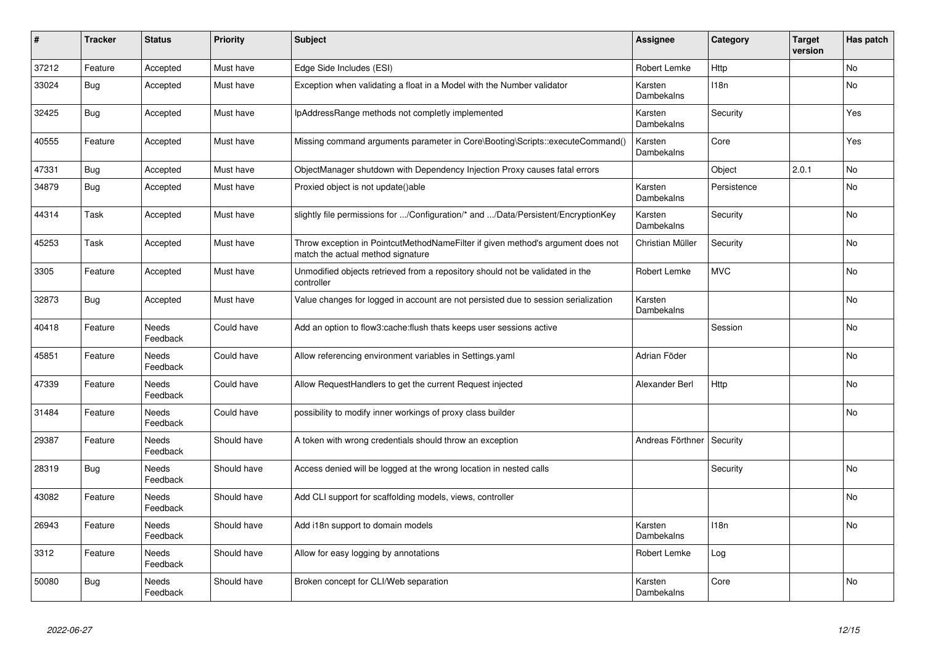| ∦     | <b>Tracker</b> | <b>Status</b>            | <b>Priority</b> | Subject                                                                                                              | <b>Assignee</b>       | Category    | <b>Target</b><br>version | Has patch |
|-------|----------------|--------------------------|-----------------|----------------------------------------------------------------------------------------------------------------------|-----------------------|-------------|--------------------------|-----------|
| 37212 | Feature        | Accepted                 | Must have       | Edge Side Includes (ESI)                                                                                             | Robert Lemke          | Http        |                          | <b>No</b> |
| 33024 | <b>Bug</b>     | Accepted                 | Must have       | Exception when validating a float in a Model with the Number validator                                               | Karsten<br>Dambekalns | 118n        |                          | No        |
| 32425 | <b>Bug</b>     | Accepted                 | Must have       | IpAddressRange methods not completly implemented                                                                     | Karsten<br>Dambekalns | Security    |                          | Yes       |
| 40555 | Feature        | Accepted                 | Must have       | Missing command arguments parameter in Core\Booting\Scripts::executeCommand()                                        | Karsten<br>Dambekalns | Core        |                          | Yes       |
| 47331 | Bug            | Accepted                 | Must have       | ObjectManager shutdown with Dependency Injection Proxy causes fatal errors                                           |                       | Object      | 2.0.1                    | <b>No</b> |
| 34879 | <b>Bug</b>     | Accepted                 | Must have       | Proxied object is not update()able                                                                                   | Karsten<br>Dambekalns | Persistence |                          | No        |
| 44314 | Task           | Accepted                 | Must have       | slightly file permissions for /Configuration/* and /Data/Persistent/EncryptionKey                                    | Karsten<br>Dambekalns | Security    |                          | No        |
| 45253 | Task           | Accepted                 | Must have       | Throw exception in PointcutMethodNameFilter if given method's argument does not<br>match the actual method signature | Christian Müller      | Security    |                          | No        |
| 3305  | Feature        | Accepted                 | Must have       | Unmodified objects retrieved from a repository should not be validated in the<br>controller                          | Robert Lemke          | <b>MVC</b>  |                          | No        |
| 32873 | <b>Bug</b>     | Accepted                 | Must have       | Value changes for logged in account are not persisted due to session serialization                                   | Karsten<br>Dambekalns |             |                          | No        |
| 40418 | Feature        | <b>Needs</b><br>Feedback | Could have      | Add an option to flow3:cache:flush thats keeps user sessions active                                                  |                       | Session     |                          | <b>No</b> |
| 45851 | Feature        | Needs<br>Feedback        | Could have      | Allow referencing environment variables in Settings yaml                                                             | Adrian Föder          |             |                          | No        |
| 47339 | Feature        | Needs<br>Feedback        | Could have      | Allow RequestHandlers to get the current Request injected                                                            | Alexander Berl        | Http        |                          | <b>No</b> |
| 31484 | Feature        | Needs<br>Feedback        | Could have      | possibility to modify inner workings of proxy class builder                                                          |                       |             |                          | No        |
| 29387 | Feature        | <b>Needs</b><br>Feedback | Should have     | A token with wrong credentials should throw an exception                                                             | Andreas Förthner      | Security    |                          |           |
| 28319 | <b>Bug</b>     | <b>Needs</b><br>Feedback | Should have     | Access denied will be logged at the wrong location in nested calls                                                   |                       | Security    |                          | <b>No</b> |
| 43082 | Feature        | Needs<br>Feedback        | Should have     | Add CLI support for scaffolding models, views, controller                                                            |                       |             |                          | No        |
| 26943 | Feature        | Needs<br>Feedback        | Should have     | Add i18n support to domain models                                                                                    | Karsten<br>Dambekalns | 118n        |                          | No        |
| 3312  | Feature        | Needs<br>Feedback        | Should have     | Allow for easy logging by annotations                                                                                | Robert Lemke          | Log         |                          |           |
| 50080 | <b>Bug</b>     | <b>Needs</b><br>Feedback | Should have     | Broken concept for CLI/Web separation                                                                                | Karsten<br>Dambekalns | Core        |                          | <b>No</b> |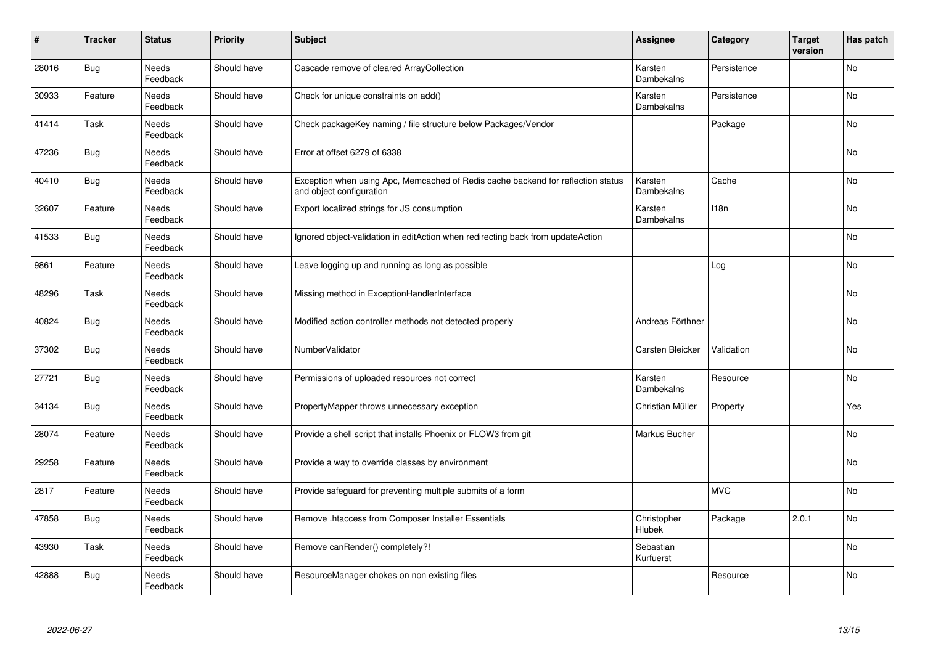| #     | <b>Tracker</b> | <b>Status</b>            | <b>Priority</b> | <b>Subject</b>                                                                                               | <b>Assignee</b>              | Category    | <b>Target</b><br>version | Has patch |
|-------|----------------|--------------------------|-----------------|--------------------------------------------------------------------------------------------------------------|------------------------------|-------------|--------------------------|-----------|
| 28016 | Bug            | <b>Needs</b><br>Feedback | Should have     | Cascade remove of cleared ArrayCollection                                                                    | Karsten<br>Dambekalns        | Persistence |                          | <b>No</b> |
| 30933 | Feature        | Needs<br>Feedback        | Should have     | Check for unique constraints on add()                                                                        | Karsten<br>Dambekalns        | Persistence |                          | No        |
| 41414 | Task           | Needs<br>Feedback        | Should have     | Check packageKey naming / file structure below Packages/Vendor                                               |                              | Package     |                          | <b>No</b> |
| 47236 | Bug            | Needs<br>Feedback        | Should have     | Error at offset 6279 of 6338                                                                                 |                              |             |                          | <b>No</b> |
| 40410 | <b>Bug</b>     | Needs<br>Feedback        | Should have     | Exception when using Apc, Memcached of Redis cache backend for reflection status<br>and object configuration | Karsten<br>Dambekalns        | Cache       |                          | No        |
| 32607 | Feature        | <b>Needs</b><br>Feedback | Should have     | Export localized strings for JS consumption                                                                  | Karsten<br>Dambekalns        | 118n        |                          | <b>No</b> |
| 41533 | <b>Bug</b>     | Needs<br>Feedback        | Should have     | Ignored object-validation in editAction when redirecting back from updateAction                              |                              |             |                          | <b>No</b> |
| 9861  | Feature        | Needs<br>Feedback        | Should have     | Leave logging up and running as long as possible                                                             |                              | Log         |                          | <b>No</b> |
| 48296 | Task           | <b>Needs</b><br>Feedback | Should have     | Missing method in ExceptionHandlerInterface                                                                  |                              |             |                          | <b>No</b> |
| 40824 | <b>Bug</b>     | Needs<br>Feedback        | Should have     | Modified action controller methods not detected properly                                                     | Andreas Förthner             |             |                          | <b>No</b> |
| 37302 | Bug            | Needs<br>Feedback        | Should have     | NumberValidator                                                                                              | Carsten Bleicker             | Validation  |                          | No        |
| 27721 | Bug            | <b>Needs</b><br>Feedback | Should have     | Permissions of uploaded resources not correct                                                                | Karsten<br><b>Dambekalns</b> | Resource    |                          | <b>No</b> |
| 34134 | <b>Bug</b>     | <b>Needs</b><br>Feedback | Should have     | PropertyMapper throws unnecessary exception                                                                  | Christian Müller             | Property    |                          | Yes       |
| 28074 | Feature        | <b>Needs</b><br>Feedback | Should have     | Provide a shell script that installs Phoenix or FLOW3 from git                                               | Markus Bucher                |             |                          | <b>No</b> |
| 29258 | Feature        | Needs<br>Feedback        | Should have     | Provide a way to override classes by environment                                                             |                              |             |                          | <b>No</b> |
| 2817  | Feature        | Needs<br>Feedback        | Should have     | Provide safeguard for preventing multiple submits of a form                                                  |                              | <b>MVC</b>  |                          | <b>No</b> |
| 47858 | Bug            | <b>Needs</b><br>Feedback | Should have     | Remove .htaccess from Composer Installer Essentials                                                          | Christopher<br>Hlubek        | Package     | 2.0.1                    | <b>No</b> |
| 43930 | Task           | <b>Needs</b><br>Feedback | Should have     | Remove canRender() completely?!                                                                              | Sebastian<br>Kurfuerst       |             |                          | No        |
| 42888 | <b>Bug</b>     | Needs<br>Feedback        | Should have     | ResourceManager chokes on non existing files                                                                 |                              | Resource    |                          | No        |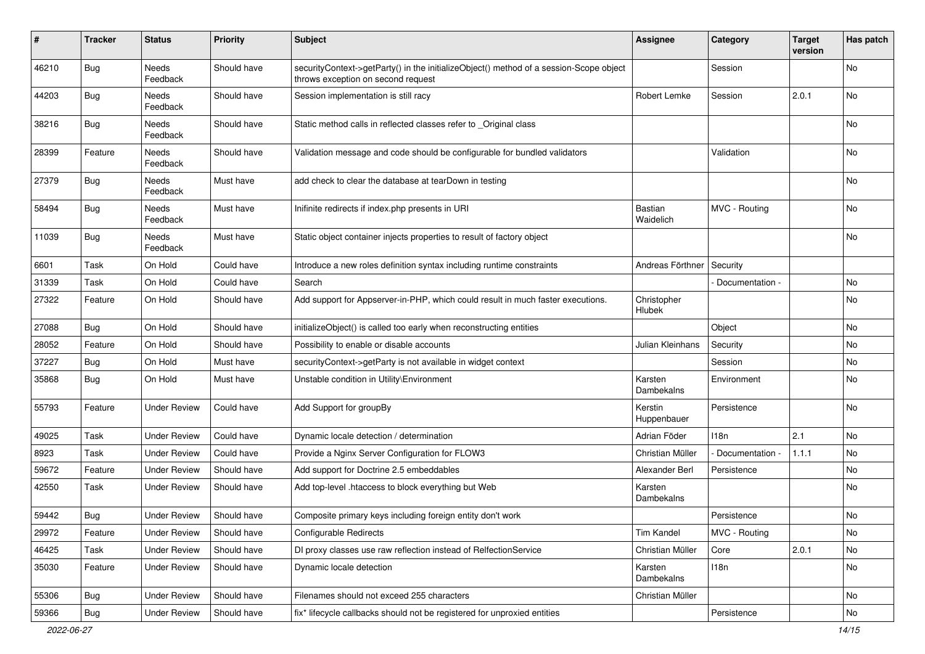| #     | <b>Tracker</b> | <b>Status</b>       | <b>Priority</b> | <b>Subject</b>                                                                                                               | <b>Assignee</b>        | Category         | <b>Target</b><br>version | Has patch |
|-------|----------------|---------------------|-----------------|------------------------------------------------------------------------------------------------------------------------------|------------------------|------------------|--------------------------|-----------|
| 46210 | Bug            | Needs<br>Feedback   | Should have     | securityContext->getParty() in the initializeObject() method of a session-Scope object<br>throws exception on second request |                        | Session          |                          | No        |
| 44203 | <b>Bug</b>     | Needs<br>Feedback   | Should have     | Session implementation is still racy                                                                                         | Robert Lemke           | Session          | 2.0.1                    | No        |
| 38216 | <b>Bug</b>     | Needs<br>Feedback   | Should have     | Static method calls in reflected classes refer to _Original class                                                            |                        |                  |                          | No        |
| 28399 | Feature        | Needs<br>Feedback   | Should have     | Validation message and code should be configurable for bundled validators                                                    |                        | Validation       |                          | No        |
| 27379 | <b>Bug</b>     | Needs<br>Feedback   | Must have       | add check to clear the database at tearDown in testing                                                                       |                        |                  |                          | <b>No</b> |
| 58494 | <b>Bug</b>     | Needs<br>Feedback   | Must have       | Inifinite redirects if index.php presents in URI                                                                             | Bastian<br>Waidelich   | MVC - Routing    |                          | <b>No</b> |
| 11039 | <b>Bug</b>     | Needs<br>Feedback   | Must have       | Static object container injects properties to result of factory object                                                       |                        |                  |                          | <b>No</b> |
| 6601  | Task           | On Hold             | Could have      | Introduce a new roles definition syntax including runtime constraints                                                        | Andreas Förthner       | Security         |                          |           |
| 31339 | Task           | On Hold             | Could have      | Search                                                                                                                       |                        | Documentation -  |                          | <b>No</b> |
| 27322 | Feature        | On Hold             | Should have     | Add support for Appserver-in-PHP, which could result in much faster executions.                                              | Christopher<br>Hlubek  |                  |                          | No        |
| 27088 | Bug            | On Hold             | Should have     | initializeObject() is called too early when reconstructing entities                                                          |                        | Object           |                          | No        |
| 28052 | Feature        | On Hold             | Should have     | Possibility to enable or disable accounts                                                                                    | Julian Kleinhans       | Security         |                          | <b>No</b> |
| 37227 | <b>Bug</b>     | On Hold             | Must have       | securityContext->getParty is not available in widget context                                                                 |                        | Session          |                          | No        |
| 35868 | <b>Bug</b>     | On Hold             | Must have       | Unstable condition in Utility\Environment                                                                                    | Karsten<br>Dambekalns  | Environment      |                          | No        |
| 55793 | Feature        | <b>Under Review</b> | Could have      | Add Support for groupBy                                                                                                      | Kerstin<br>Huppenbauer | Persistence      |                          | No        |
| 49025 | Task           | <b>Under Review</b> | Could have      | Dynamic locale detection / determination                                                                                     | Adrian Föder           | 118 <sub>n</sub> | 2.1                      | <b>No</b> |
| 8923  | Task           | <b>Under Review</b> | Could have      | Provide a Nginx Server Configuration for FLOW3                                                                               | Christian Müller       | Documentation -  | 1.1.1                    | No        |
| 59672 | Feature        | <b>Under Review</b> | Should have     | Add support for Doctrine 2.5 embeddables                                                                                     | Alexander Berl         | Persistence      |                          | No        |
| 42550 | Task           | Under Review        | Should have     | Add top-level .htaccess to block everything but Web                                                                          | Karsten<br>Dambekalns  |                  |                          | No        |
| 59442 | <b>Bug</b>     | <b>Under Review</b> | Should have     | Composite primary keys including foreign entity don't work                                                                   |                        | Persistence      |                          | No        |
| 29972 | Feature        | <b>Under Review</b> | Should have     | Configurable Redirects                                                                                                       | <b>Tim Kandel</b>      | MVC - Routing    |                          | No        |
| 46425 | Task           | <b>Under Review</b> | Should have     | DI proxy classes use raw reflection instead of RelfectionService                                                             | Christian Müller       | Core             | 2.0.1                    | No        |
| 35030 | Feature        | <b>Under Review</b> | Should have     | Dynamic locale detection                                                                                                     | Karsten<br>Dambekalns  | 118n             |                          | No        |
| 55306 | <b>Bug</b>     | <b>Under Review</b> | Should have     | Filenames should not exceed 255 characters                                                                                   | Christian Müller       |                  |                          | No        |
| 59366 | <b>Bug</b>     | <b>Under Review</b> | Should have     | fix* lifecycle callbacks should not be registered for unproxied entities                                                     |                        | Persistence      |                          | No        |